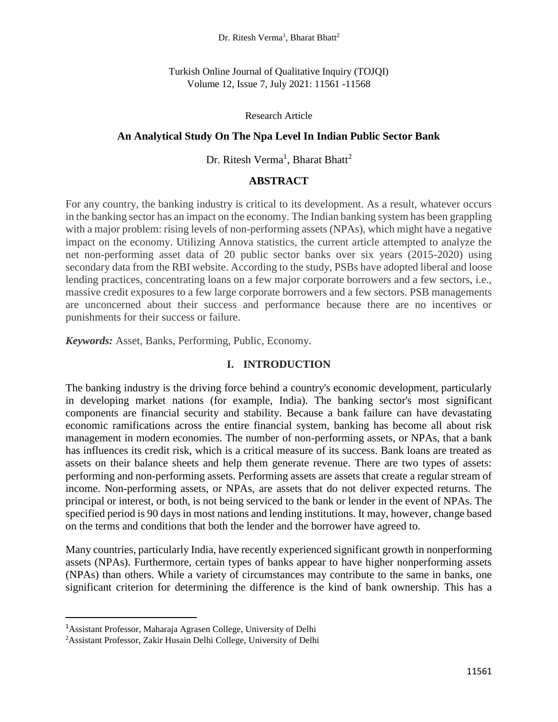Dr. Ritesh Verma<sup>1</sup>, Bharat Bhatt<sup>2</sup>

Turkish Online Journal of Qualitative Inquiry (TOJQI) Volume 12, Issue 7, July 2021: 11561 -11568

#### Research Article

### **An Analytical Study On The Npa Level In Indian Public Sector Bank**

## Dr. Ritesh Verma<sup>1</sup>, Bharat Bhatt<sup>2</sup>

## **ABSTRACT**

For any country, the banking industry is critical to its development. As a result, whatever occurs in the banking sector has an impact on the economy. The Indian banking system has been grappling with a major problem: rising levels of non-performing assets (NPAs), which might have a negative impact on the economy. Utilizing Annova statistics, the current article attempted to analyze the net non-performing asset data of 20 public sector banks over six years (2015-2020) using secondary data from the RBI website. According to the study, PSBs have adopted liberal and loose lending practices, concentrating loans on a few major corporate borrowers and a few sectors, i.e., massive credit exposures to a few large corporate borrowers and a few sectors. PSB managements are unconcerned about their success and performance because there are no incentives or punishments for their success or failure.

*Keywords:* Asset, Banks, Performing, Public, Economy.

### **I. INTRODUCTION**

The banking industry is the driving force behind a country's economic development, particularly in developing market nations (for example, India). The banking sector's most significant components are financial security and stability. Because a bank failure can have devastating economic ramifications across the entire financial system, banking has become all about risk management in modern economies. The number of non-performing assets, or NPAs, that a bank has influences its credit risk, which is a critical measure of its success. Bank loans are treated as assets on their balance sheets and help them generate revenue. There are two types of assets: performing and non-performing assets. Performing assets are assets that create a regular stream of income. Non-performing assets, or NPAs, are assets that do not deliver expected returns. The principal or interest, or both, is not being serviced to the bank or lender in the event of NPAs. The specified period is 90 days in most nations and lending institutions. It may, however, change based on the terms and conditions that both the lender and the borrower have agreed to.

Many countries, particularly India, have recently experienced significant growth in nonperforming assets (NPAs). Furthermore, certain types of banks appear to have higher nonperforming assets (NPAs) than others. While a variety of circumstances may contribute to the same in banks, one significant criterion for determining the difference is the kind of bank ownership. This has a

l

<sup>1</sup>Assistant Professor, Maharaja Agrasen College, University of Delhi

<sup>2</sup>Assistant Professor, Zakir Husain Delhi College, University of Delhi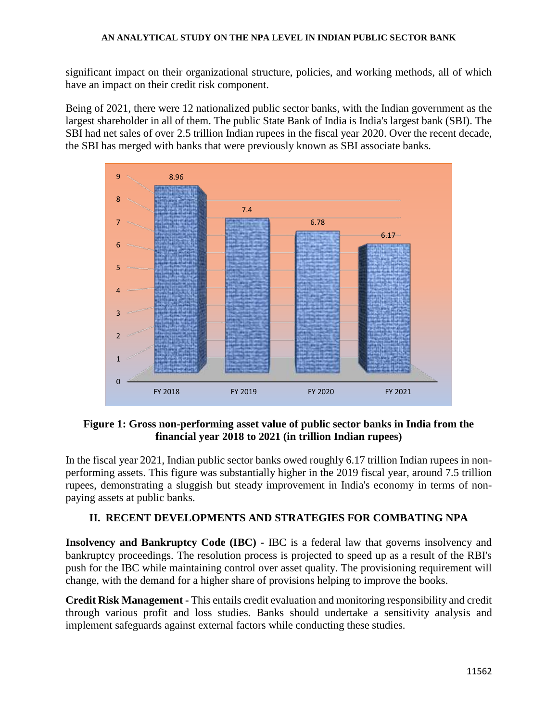significant impact on their organizational structure, policies, and working methods, all of which have an impact on their credit risk component.

Being of 2021, there were 12 nationalized public sector banks, with the Indian government as the largest shareholder in all of them. The public State Bank of India is India's largest bank (SBI). The SBI had net sales of over 2.5 trillion Indian rupees in the fiscal year 2020. Over the recent decade, the SBI has merged with banks that were previously known as SBI associate banks.



## **Figure 1: Gross non-performing asset value of public sector banks in India from the financial year 2018 to 2021 (in trillion Indian rupees)**

In the fiscal year 2021, Indian public sector banks owed roughly 6.17 trillion Indian rupees in nonperforming assets. This figure was substantially higher in the 2019 fiscal year, around 7.5 trillion rupees, demonstrating a sluggish but steady improvement in India's economy in terms of nonpaying assets at public banks.

## **II. RECENT DEVELOPMENTS AND STRATEGIES FOR COMBATING NPA**

**Insolvency and Bankruptcy Code (IBC) -** IBC is a federal law that governs insolvency and bankruptcy proceedings. The resolution process is projected to speed up as a result of the RBI's push for the IBC while maintaining control over asset quality. The provisioning requirement will change, with the demand for a higher share of provisions helping to improve the books.

**Credit Risk Management -** This entails credit evaluation and monitoring responsibility and credit through various profit and loss studies. Banks should undertake a sensitivity analysis and implement safeguards against external factors while conducting these studies.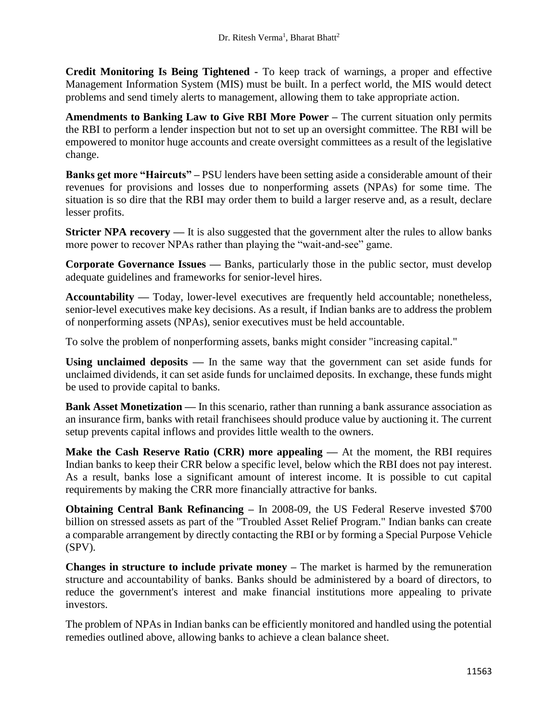**Credit Monitoring Is Being Tightened -** To keep track of warnings, a proper and effective Management Information System (MIS) must be built. In a perfect world, the MIS would detect problems and send timely alerts to management, allowing them to take appropriate action.

**Amendments to Banking Law to Give RBI More Power –** The current situation only permits the RBI to perform a lender inspection but not to set up an oversight committee. The RBI will be empowered to monitor huge accounts and create oversight committees as a result of the legislative change.

**Banks get more "Haircuts" –** PSU lenders have been setting aside a considerable amount of their revenues for provisions and losses due to nonperforming assets (NPAs) for some time. The situation is so dire that the RBI may order them to build a larger reserve and, as a result, declare lesser profits.

**Stricter NPA recovery** — It is also suggested that the government alter the rules to allow banks more power to recover NPAs rather than playing the "wait-and-see" game.

**Corporate Governance Issues —** Banks, particularly those in the public sector, must develop adequate guidelines and frameworks for senior-level hires.

Accountability — Today, lower-level executives are frequently held accountable; nonetheless, senior-level executives make key decisions. As a result, if Indian banks are to address the problem of nonperforming assets (NPAs), senior executives must be held accountable.

To solve the problem of nonperforming assets, banks might consider "increasing capital."

**Using unclaimed deposits —** In the same way that the government can set aside funds for unclaimed dividends, it can set aside funds for unclaimed deposits. In exchange, these funds might be used to provide capital to banks.

**Bank Asset Monetization —** In this scenario, rather than running a bank assurance association as an insurance firm, banks with retail franchisees should produce value by auctioning it. The current setup prevents capital inflows and provides little wealth to the owners.

**Make the Cash Reserve Ratio (CRR) more appealing —** At the moment, the RBI requires Indian banks to keep their CRR below a specific level, below which the RBI does not pay interest. As a result, banks lose a significant amount of interest income. It is possible to cut capital requirements by making the CRR more financially attractive for banks.

**Obtaining Central Bank Refinancing –** In 2008-09, the US Federal Reserve invested \$700 billion on stressed assets as part of the "Troubled Asset Relief Program." Indian banks can create a comparable arrangement by directly contacting the RBI or by forming a Special Purpose Vehicle (SPV).

**Changes in structure to include private money –** The market is harmed by the remuneration structure and accountability of banks. Banks should be administered by a board of directors, to reduce the government's interest and make financial institutions more appealing to private investors.

The problem of NPAs in Indian banks can be efficiently monitored and handled using the potential remedies outlined above, allowing banks to achieve a clean balance sheet.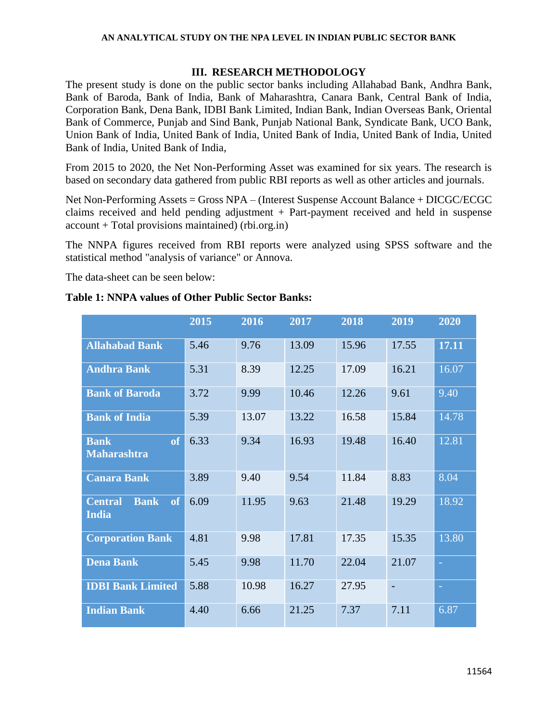### **AN ANALYTICAL STUDY ON THE NPA LEVEL IN INDIAN PUBLIC SECTOR BANK**

### **III. RESEARCH METHODOLOGY**

The present study is done on the public sector banks including Allahabad Bank, Andhra Bank, Bank of Baroda, Bank of India, Bank of Maharashtra, Canara Bank, Central Bank of India, Corporation Bank, Dena Bank, IDBI Bank Limited, Indian Bank, Indian Overseas Bank, Oriental Bank of Commerce, Punjab and Sind Bank, Punjab National Bank, Syndicate Bank, UCO Bank, Union Bank of India, United Bank of India, United Bank of India, United Bank of India, United Bank of India, United Bank of India,

From 2015 to 2020, the Net Non-Performing Asset was examined for six years. The research is based on secondary data gathered from public RBI reports as well as other articles and journals.

Net Non-Performing Assets = Gross NPA – (Interest Suspense Account Balance + DICGC/ECGC claims received and held pending adjustment  $+$  Part-payment received and held in suspense account + Total provisions maintained) (rbi.org.in)

The NNPA figures received from RBI reports were analyzed using SPSS software and the statistical method "analysis of variance" or Annova.

The data-sheet can be seen below:

## **Table 1: NNPA values of Other Public Sector Banks:**

|                                                     | 2015 | 2016  | 2017  | 2018  | 2019                     | 2020  |
|-----------------------------------------------------|------|-------|-------|-------|--------------------------|-------|
| <b>Allahabad Bank</b>                               | 5.46 | 9.76  | 13.09 | 15.96 | 17.55                    | 17.11 |
| <b>Andhra Bank</b>                                  | 5.31 | 8.39  | 12.25 | 17.09 | 16.21                    | 16.07 |
| <b>Bank of Baroda</b>                               | 3.72 | 9.99  | 10.46 | 12.26 | 9.61                     | 9.40  |
| <b>Bank of India</b>                                | 5.39 | 13.07 | 13.22 | 16.58 | 15.84                    | 14.78 |
| of<br><b>Bank</b><br><b>Maharashtra</b>             | 6.33 | 9.34  | 16.93 | 19.48 | 16.40                    | 12.81 |
| <b>Canara Bank</b>                                  | 3.89 | 9.40  | 9.54  | 11.84 | 8.83                     | 8.04  |
| <b>Bank</b><br>of<br><b>Central</b><br><b>India</b> | 6.09 | 11.95 | 9.63  | 21.48 | 19.29                    | 18.92 |
| <b>Corporation Bank</b>                             | 4.81 | 9.98  | 17.81 | 17.35 | 15.35                    | 13.80 |
| <b>Dena Bank</b>                                    | 5.45 | 9.98  | 11.70 | 22.04 | 21.07                    |       |
| <b>IDBI Bank Limited</b>                            | 5.88 | 10.98 | 16.27 | 27.95 | $\overline{\phantom{a}}$ |       |
| <b>Indian Bank</b>                                  | 4.40 | 6.66  | 21.25 | 7.37  | 7.11                     | 6.87  |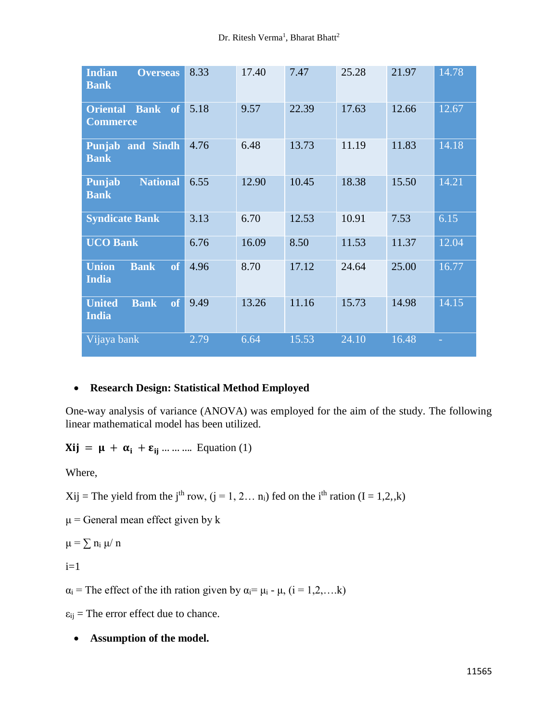| <b>Indian</b><br><b>Overseas</b><br><b>Bank</b>    | 8.33 | 17.40 | 7.47  | 25.28 | 21.97 | 14.78 |
|----------------------------------------------------|------|-------|-------|-------|-------|-------|
| <b>Oriental Bank of</b><br><b>Commerce</b>         | 5.18 | 9.57  | 22.39 | 17.63 | 12.66 | 12.67 |
| <b>Punjab and Sindh</b><br><b>Bank</b>             | 4.76 | 6.48  | 13.73 | 11.19 | 11.83 | 14.18 |
| <b>National</b><br>Punjab<br><b>Bank</b>           | 6.55 | 12.90 | 10.45 | 18.38 | 15.50 | 14.21 |
| <b>Syndicate Bank</b>                              | 3.13 | 6.70  | 12.53 | 10.91 | 7.53  | 6.15  |
| <b>UCO Bank</b>                                    | 6.76 | 16.09 | 8.50  | 11.53 | 11.37 | 12.04 |
| <b>Union</b><br><b>Bank</b><br>of<br><b>India</b>  | 4.96 | 8.70  | 17.12 | 24.64 | 25.00 | 16.77 |
| of<br><b>United</b><br><b>Bank</b><br><b>India</b> | 9.49 | 13.26 | 11.16 | 15.73 | 14.98 | 14.15 |
| Vijaya bank                                        | 2.79 | 6.64  | 15.53 | 24.10 | 16.48 |       |

## **Research Design: Statistical Method Employed**

One-way analysis of variance (ANOVA) was employed for the aim of the study. The following linear mathematical model has been utilized.

# $Xij = \mu + \alpha_i + \varepsilon_{ii}$  ... ... Equation (1)

Where,

 $Xij$  = The yield from the j<sup>th</sup> row, (j = 1, 2... n<sub>i</sub>) fed on the i<sup>th</sup> ration (I = 1,2,k)

 $\mu$  = General mean effect given by k

 $μ = ∑ n<sub>i</sub> μ/ n$ 

 $i=1$ 

 $\alpha_i$  = The effect of the ith ration given by  $\alpha_i = \mu_i - \mu$ ,  $(i = 1, 2, \dots, k)$ 

 $\varepsilon_{ij}$  = The error effect due to chance.

## **Assumption of the model.**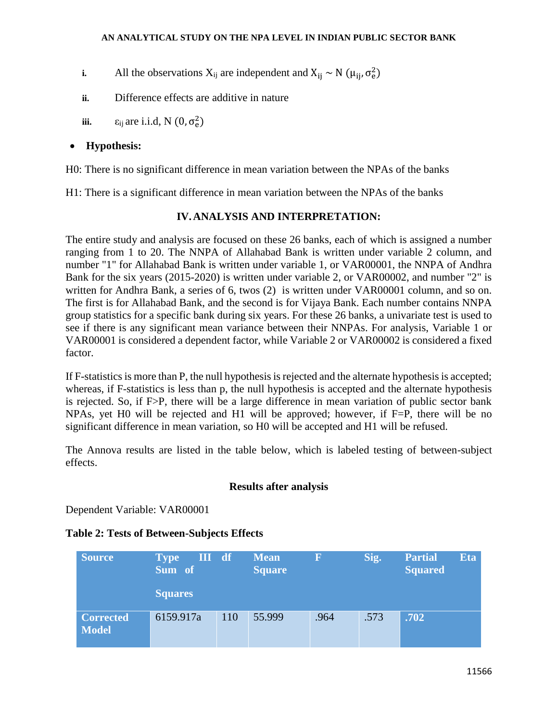**i.** All the observations  $X_{ij}$  are independent and  $X_{ij} \sim N(\mu_{ij}, \sigma_e^2)$ 

- **ii.** Difference effects are additive in nature
- **iii.**  $\varepsilon_{ij}$  are i.i.d, N  $(0, \sigma_e^2)$

## **Hypothesis:**

H0: There is no significant difference in mean variation between the NPAs of the banks

H1: There is a significant difference in mean variation between the NPAs of the banks

## **IV.ANALYSIS AND INTERPRETATION:**

The entire study and analysis are focused on these 26 banks, each of which is assigned a number ranging from 1 to 20. The NNPA of Allahabad Bank is written under variable 2 column, and number "1" for Allahabad Bank is written under variable 1, or VAR00001, the NNPA of Andhra Bank for the six years (2015-2020) is written under variable 2, or VAR00002, and number "2" is written for Andhra Bank, a series of 6, twos (2) is written under VAR00001 column, and so on. The first is for Allahabad Bank, and the second is for Vijaya Bank. Each number contains NNPA group statistics for a specific bank during six years. For these 26 banks, a univariate test is used to see if there is any significant mean variance between their NNPAs. For analysis, Variable 1 or VAR00001 is considered a dependent factor, while Variable 2 or VAR00002 is considered a fixed factor.

If F-statistics is more than P, the null hypothesis is rejected and the alternate hypothesis is accepted; whereas, if F-statistics is less than p, the null hypothesis is accepted and the alternate hypothesis is rejected. So, if F>P, there will be a large difference in mean variation of public sector bank NPAs, yet H0 will be rejected and H1 will be approved; however, if F=P, there will be no significant difference in mean variation, so H0 will be accepted and H1 will be refused.

The Annova results are listed in the table below, which is labeled testing of between-subject effects.

## **Results after analysis**

Dependent Variable: VAR00001

## **Table 2: Tests of Between-Subjects Effects**

| Source                           | III df<br><b>Type</b><br>Sum of |     | <b>Mean</b><br><b>Square</b> | F    | Sig. | <b>Partial</b><br><b>Squared</b> | <b>Eta</b> |
|----------------------------------|---------------------------------|-----|------------------------------|------|------|----------------------------------|------------|
|                                  | <b>Squares</b>                  |     |                              |      |      |                                  |            |
| <b>Corrected</b><br><b>Model</b> | 6159.917a                       | 110 | 55.999                       | .964 | .573 | .702                             |            |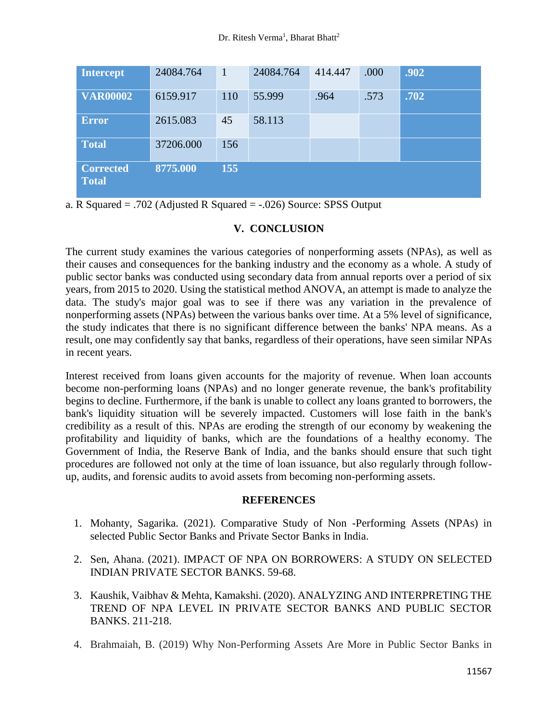| <b>Intercept</b>                 | 24084.764 | 1   | 24084.764 | 414.447 | .000 | .902 |
|----------------------------------|-----------|-----|-----------|---------|------|------|
| <b>VAR00002</b>                  | 6159.917  | 110 | 55.999    | .964    | .573 | .702 |
| <b>Error</b>                     | 2615.083  | 45  | 58.113    |         |      |      |
| <b>Total</b>                     | 37206.000 | 156 |           |         |      |      |
| <b>Corrected</b><br><b>Total</b> | 8775.000  | 155 |           |         |      |      |

a. R Squared = .702 (Adjusted R Squared = -.026) Source: SPSS Output

# **V. CONCLUSION**

The current study examines the various categories of nonperforming assets (NPAs), as well as their causes and consequences for the banking industry and the economy as a whole. A study of public sector banks was conducted using secondary data from annual reports over a period of six years, from 2015 to 2020. Using the statistical method ANOVA, an attempt is made to analyze the data. The study's major goal was to see if there was any variation in the prevalence of nonperforming assets (NPAs) between the various banks over time. At a 5% level of significance, the study indicates that there is no significant difference between the banks' NPA means. As a result, one may confidently say that banks, regardless of their operations, have seen similar NPAs in recent years.

Interest received from loans given accounts for the majority of revenue. When loan accounts become non-performing loans (NPAs) and no longer generate revenue, the bank's profitability begins to decline. Furthermore, if the bank is unable to collect any loans granted to borrowers, the bank's liquidity situation will be severely impacted. Customers will lose faith in the bank's credibility as a result of this. NPAs are eroding the strength of our economy by weakening the profitability and liquidity of banks, which are the foundations of a healthy economy. The Government of India, the Reserve Bank of India, and the banks should ensure that such tight procedures are followed not only at the time of loan issuance, but also regularly through followup, audits, and forensic audits to avoid assets from becoming non-performing assets.

## **REFERENCES**

- 1. Mohanty, Sagarika. (2021). Comparative Study of Non -Performing Assets (NPAs) in selected Public Sector Banks and Private Sector Banks in India.
- 2. Sen, Ahana. (2021). IMPACT OF NPA ON BORROWERS: A STUDY ON SELECTED INDIAN PRIVATE SECTOR BANKS. 59-68.
- 3. Kaushik, Vaibhav & Mehta, Kamakshi. (2020). ANALYZING AND INTERPRETING THE TREND OF NPA LEVEL IN PRIVATE SECTOR BANKS AND PUBLIC SECTOR BANKS. 211-218.
- 4. Brahmaiah, B. (2019) Why Non-Performing Assets Are More in Public Sector Banks in